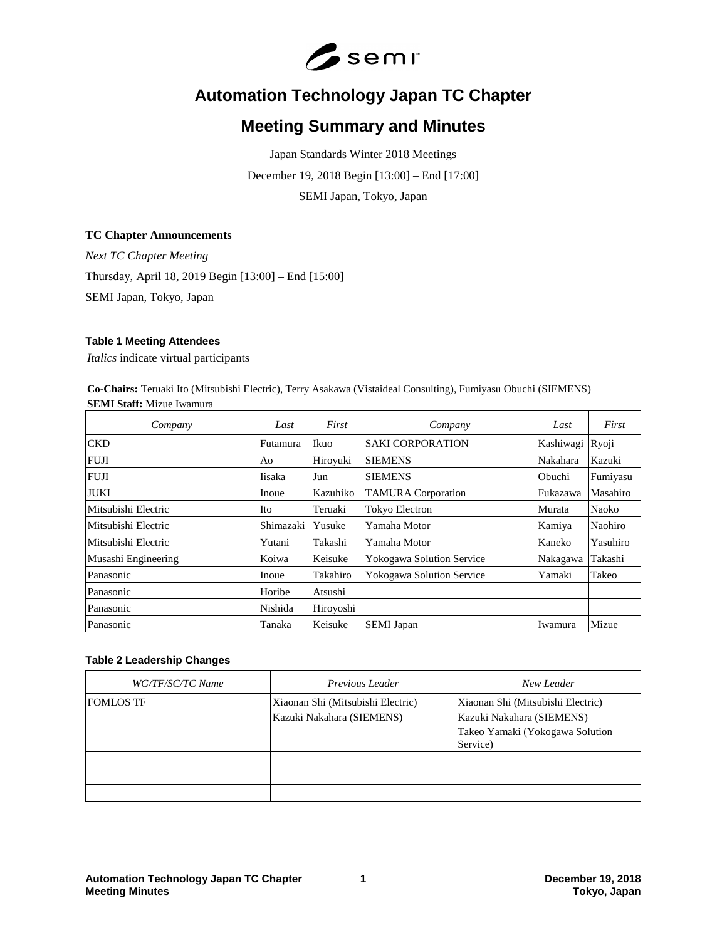

# **Automation Technology Japan TC Chapter**

# **Meeting Summary and Minutes**

Japan Standards Winter 2018 Meetings December 19, 2018 Begin [13:00] – End [17:00] SEMI Japan, Tokyo, Japan

#### **TC Chapter Announcements**

*Next TC Chapter Meeting* Thursday, April 18, 2019 Begin [13:00] – End [15:00] SEMI Japan, Tokyo, Japan

#### **Table 1 Meeting Attendees**

*Italics* indicate virtual participants

**Co-Chairs:** Teruaki Ito (Mitsubishi Electric), Terry Asakawa (Vistaideal Consulting), Fumiyasu Obuchi (SIEMENS) **SEMI Staff:** Mizue Iwamura

| Company             | Last      | First     | Company                          | Last      | First    |
|---------------------|-----------|-----------|----------------------------------|-----------|----------|
| <b>CKD</b>          | Futamura  | Ikuo      | <b>SAKI CORPORATION</b>          | Kashiwagi | Ryoji    |
| <b>FUJI</b>         | Ao        | Hiroyuki  | <b>SIEMENS</b>                   | Nakahara  | Kazuki   |
| <b>FUJI</b>         | Iisaka    | Jun       | <b>SIEMENS</b>                   | Obuchi    | Fumiyasu |
| <b>JUKI</b>         | Inoue     | Kazuhiko  | <b>TAMURA</b> Corporation        | Fukazawa  | Masahiro |
| Mitsubishi Electric | Ito       | Teruaki   | <b>Tokyo Electron</b>            | Murata    | Naoko    |
| Mitsubishi Electric | Shimazaki | Yusuke    | Yamaha Motor                     | Kamiya    | Naohiro  |
| Mitsubishi Electric | Yutani    | Takashi   | Yamaha Motor                     | Kaneko    | Yasuhiro |
| Musashi Engineering | Koiwa     | Keisuke   | <b>Yokogawa Solution Service</b> | Nakagawa  | Takashi  |
| Panasonic           | Inoue     | Takahiro  | Yokogawa Solution Service        | Yamaki    | Takeo    |
| Panasonic           | Horibe    | Atsushi   |                                  |           |          |
| Panasonic           | Nishida   | Hiroyoshi |                                  |           |          |
| Panasonic           | Tanaka    | Keisuke   | <b>SEMI</b> Japan                | Iwamura   | Mizue    |

# **Table 2 Leadership Changes**

| WG/TF/SC/TC Name | <i>Previous Leader</i>                                         | New Leader                                                                                                    |
|------------------|----------------------------------------------------------------|---------------------------------------------------------------------------------------------------------------|
| <b>FOMLOS TF</b> | Xiaonan Shi (Mitsubishi Electric)<br>Kazuki Nakahara (SIEMENS) | Xiaonan Shi (Mitsubishi Electric)<br>Kazuki Nakahara (SIEMENS)<br>Takeo Yamaki (Yokogawa Solution<br>Service) |
|                  |                                                                |                                                                                                               |
|                  |                                                                |                                                                                                               |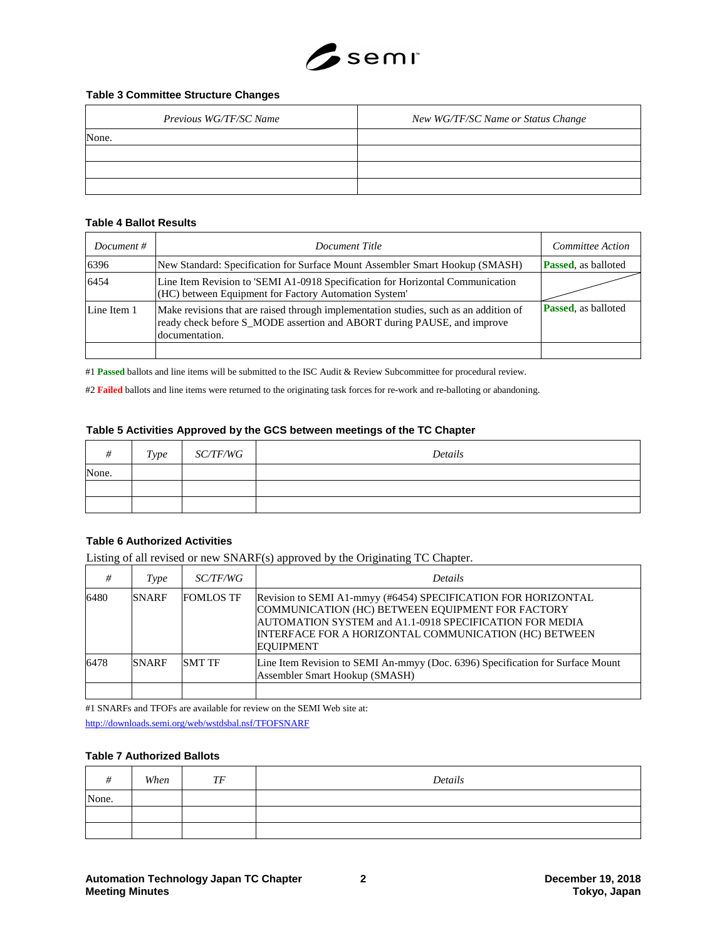

### **Table 3 Committee Structure Changes**

| Previous WG/TF/SC Name | New WG/TF/SC Name or Status Change |
|------------------------|------------------------------------|
| None.                  |                                    |
|                        |                                    |
|                        |                                    |
|                        |                                    |

### **Table 4 Ballot Results**

| Document $#$ | Document Title                                                                                                                                                                     | Committee Action           |
|--------------|------------------------------------------------------------------------------------------------------------------------------------------------------------------------------------|----------------------------|
| 6396         | New Standard: Specification for Surface Mount Assembler Smart Hookup (SMASH)                                                                                                       | <b>Passed, as balloted</b> |
| 6454         | Line Item Revision to 'SEMI A1-0918 Specification for Horizontal Communication<br>(HC) between Equipment for Factory Automation System'                                            |                            |
| Line Item 1  | Make revisions that are raised through implementation studies, such as an addition of<br>ready check before S MODE assertion and ABORT during PAUSE, and improve<br>documentation. | <b>Passed, as balloted</b> |
|              |                                                                                                                                                                                    |                            |

#1 **Passed** ballots and line items will be submitted to the ISC Audit & Review Subcommittee for procedural review.

#2 **Failed** ballots and line items were returned to the originating task forces for re-work and re-balloting or abandoning.

#### **Table 5 Activities Approved by the GCS between meetings of the TC Chapter**

| #     | Type | <i>SC/TF/WG</i> | Details |
|-------|------|-----------------|---------|
| None. |      |                 |         |
|       |      |                 |         |
|       |      |                 |         |

#### **Table 6 Authorized Activities**

Listing of all revised or new SNARF(s) approved by the Originating TC Chapter.

| #    | Type         | <i>SC/TF/WG</i>  | <b>Details</b>                                                                                                                                                                                                                                            |
|------|--------------|------------------|-----------------------------------------------------------------------------------------------------------------------------------------------------------------------------------------------------------------------------------------------------------|
| 6480 | <b>SNARF</b> | <b>FOMLOS TF</b> | Revision to SEMI A1-mmyy (#6454) SPECIFICATION FOR HORIZONTAL<br>COMMUNICATION (HC) BETWEEN EQUIPMENT FOR FACTORY<br>AUTOMATION SYSTEM and A1.1-0918 SPECIFICATION FOR MEDIA<br>INTERFACE FOR A HORIZONTAL COMMUNICATION (HC) BETWEEN<br><b>EQUIPMENT</b> |
| 6478 | <b>SNARF</b> | <b>SMT TF</b>    | Line Item Revision to SEMI An-mmyy (Doc. 6396) Specification for Surface Mount<br>Assembler Smart Hookup (SMASH)                                                                                                                                          |

#1 SNARFs and TFOFs are available for review on the SEMI Web site at:

<http://downloads.semi.org/web/wstdsbal.nsf/TFOFSNARF>

#### **Table 7 Authorized Ballots**

| #     | When | TF | Details |
|-------|------|----|---------|
| None. |      |    |         |
|       |      |    |         |
|       |      |    |         |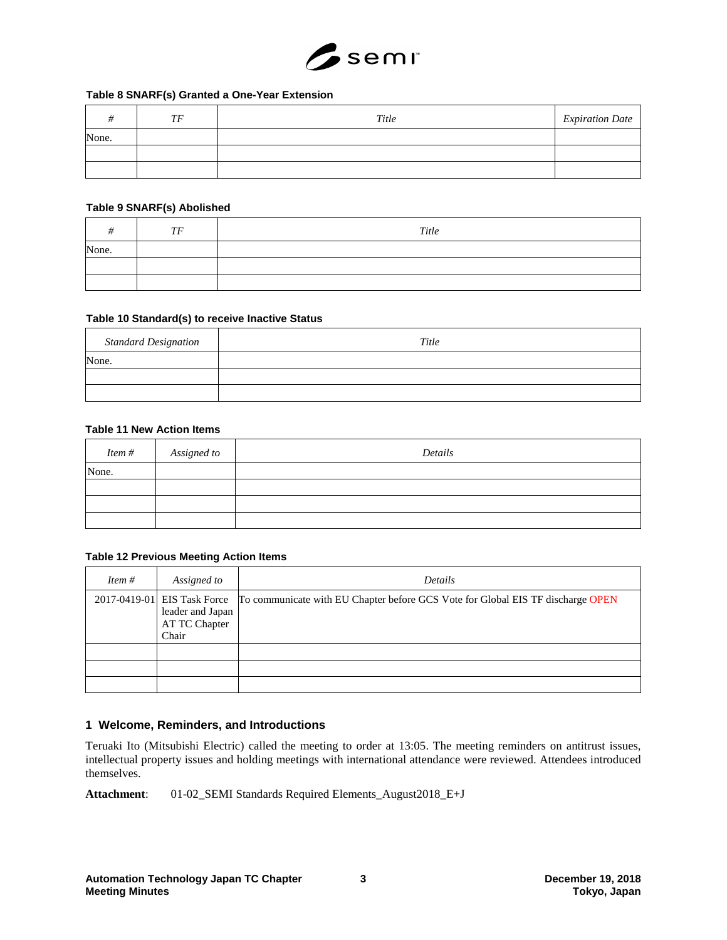

### **Table 8 SNARF(s) Granted a One-Year Extension**

|       | TF | Title | <b>Expiration Date</b> |
|-------|----|-------|------------------------|
| None. |    |       |                        |
|       |    |       |                        |
|       |    |       |                        |

#### **Table 9 SNARF(s) Abolished**

|       | TF | Title |
|-------|----|-------|
| None. |    |       |
|       |    |       |
|       |    |       |

#### **Table 10 Standard(s) to receive Inactive Status**

| <b>Standard Designation</b> | Title |
|-----------------------------|-------|
| None.                       |       |
|                             |       |
|                             |       |

### **Table 11 New Action Items**

| Item # | Assigned to | Details |
|--------|-------------|---------|
| None.  |             |         |
|        |             |         |
|        |             |         |
|        |             |         |

#### **Table 12 Previous Meeting Action Items**

| Item $#$ | Assigned to                                | Details                                                                                                     |
|----------|--------------------------------------------|-------------------------------------------------------------------------------------------------------------|
|          | leader and Japan<br>AT TC Chapter<br>Chair | 2017-0419-01 EIS Task Force To communicate with EU Chapter before GCS Vote for Global EIS TF discharge OPEN |
|          |                                            |                                                                                                             |
|          |                                            |                                                                                                             |
|          |                                            |                                                                                                             |

# **1 Welcome, Reminders, and Introductions**

Teruaki Ito (Mitsubishi Electric) called the meeting to order at 13:05. The meeting reminders on antitrust issues, intellectual property issues and holding meetings with international attendance were reviewed. Attendees introduced themselves.

**Attachment**: 01-02\_SEMI Standards Required Elements\_August2018\_E+J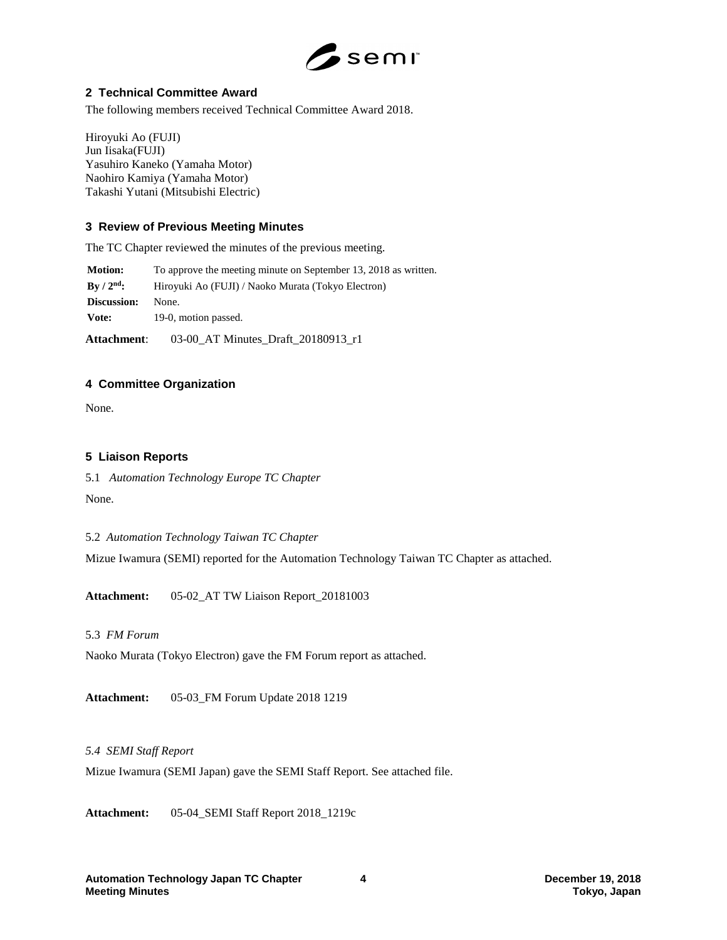

# **2 Technical Committee Award**

The following members received Technical Committee Award 2018.

Hiroyuki Ao (FUJI) Jun Iisaka(FUJI) Yasuhiro Kaneko (Yamaha Motor) Naohiro Kamiya (Yamaha Motor) Takashi Yutani (Mitsubishi Electric)

# **3 Review of Previous Meeting Minutes**

The TC Chapter reviewed the minutes of the previous meeting.

**Motion:** To approve the meeting minute on September 13, 2018 as written. **By / 2nd:** Hiroyuki Ao (FUJI) / Naoko Murata (Tokyo Electron) **Discussion:** None. Vote: 19-0, motion passed. **Attachment**: 03-00\_AT Minutes\_Draft\_20180913\_r1

# **4 Committee Organization**

None.

# **5 Liaison Reports**

5.1 *Automation Technology Europe TC Chapter* None.

5.2 *Automation Technology Taiwan TC Chapter*

Mizue Iwamura (SEMI) reported for the Automation Technology Taiwan TC Chapter as attached.

**Attachment:** 05-02\_AT TW Liaison Report\_20181003

# 5.3 *FM Forum*

Naoko Murata (Tokyo Electron) gave the FM Forum report as attached.

**Attachment:** 05-03\_FM Forum Update 2018 1219

# *5.4 SEMI Staff Report*

Mizue Iwamura (SEMI Japan) gave the SEMI Staff Report. See attached file.

**Attachment:** 05-04\_SEMI Staff Report 2018\_1219c

**Automation Technology Japan TC Chapter 4 December 19, 2018 Meeting Minutes**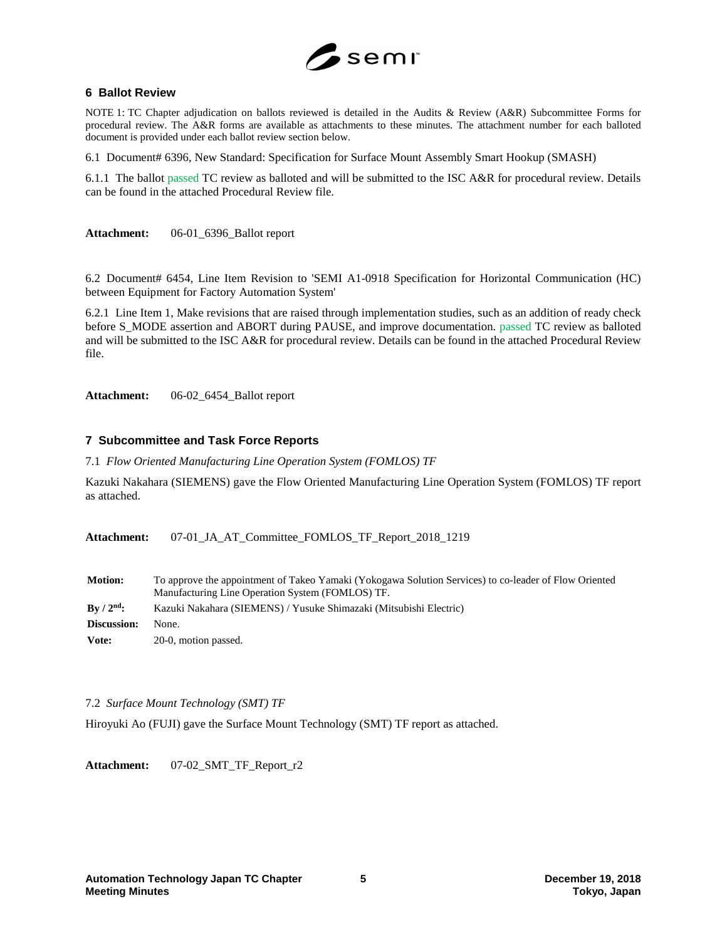

### **6 Ballot Review**

NOTE 1: TC Chapter adjudication on ballots reviewed is detailed in the Audits & Review (A&R) Subcommittee Forms for procedural review. The A&R forms are available as attachments to these minutes. The attachment number for each balloted document is provided under each ballot review section below.

6.1 Document# 6396, New Standard: Specification for Surface Mount Assembly Smart Hookup (SMASH)

6.1.1 The ballot passed TC review as balloted and will be submitted to the ISC A&R for procedural review. Details can be found in the attached Procedural Review file.

**Attachment:** 06-01\_6396\_Ballot report

6.2 Document# 6454, Line Item Revision to 'SEMI A1-0918 Specification for Horizontal Communication (HC) between Equipment for Factory Automation System'

6.2.1 Line Item 1, Make revisions that are raised through implementation studies, such as an addition of ready check before S\_MODE assertion and ABORT during PAUSE, and improve documentation. passed TC review as balloted and will be submitted to the ISC A&R for procedural review. Details can be found in the attached Procedural Review file.

**Attachment:** 06-02\_6454\_Ballot report

# **7 Subcommittee and Task Force Reports**

7.1 *Flow Oriented Manufacturing Line Operation System (FOMLOS) TF*

Kazuki Nakahara (SIEMENS) gave the Flow Oriented Manufacturing Line Operation System (FOMLOS) TF report as attached.

Attachment: 07-01 JA AT Committee FOMLOS TF Report 2018 1219

| <b>Motion:</b>     | To approve the appointment of Takeo Yamaki (Yokogawa Solution Services) to co-leader of Flow Oriented<br>Manufacturing Line Operation System (FOMLOS) TF. |  |
|--------------------|-----------------------------------------------------------------------------------------------------------------------------------------------------------|--|
| $\rm{Bv}/2^{nd}$ : | Kazuki Nakahara (SIEMENS) / Yusuke Shimazaki (Mitsubishi Electric)                                                                                        |  |
| Discussion:        | None.                                                                                                                                                     |  |
| Vote:              | 20-0, motion passed.                                                                                                                                      |  |

7.2 *Surface Mount Technology (SMT) TF*

Hiroyuki Ao (FUJI) gave the Surface Mount Technology (SMT) TF report as attached.

Attachment: 07-02 SMT TF Report r2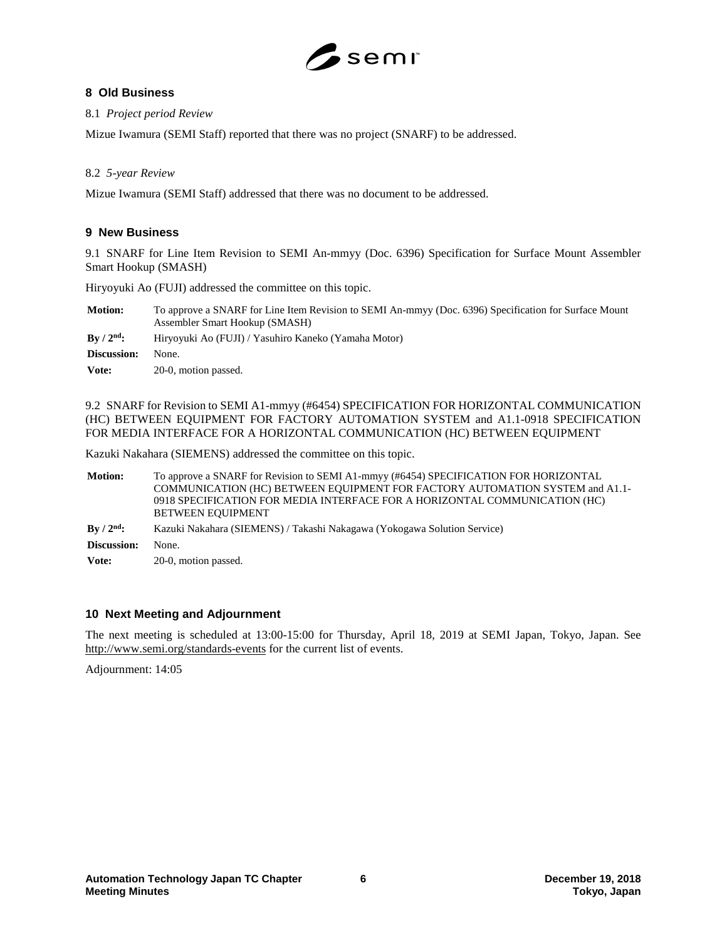

# **8 Old Business**

8.1 *Project period Review*

Mizue Iwamura (SEMI Staff) reported that there was no project (SNARF) to be addressed.

# 8.2 *5-year Review*

Mizue Iwamura (SEMI Staff) addressed that there was no document to be addressed.

# **9 New Business**

9.1 SNARF for Line Item Revision to SEMI An-mmyy (Doc. 6396) Specification for Surface Mount Assembler Smart Hookup (SMASH)

Hiryoyuki Ao (FUJI) addressed the committee on this topic.

| <b>Motion:</b>           | To approve a SNARF for Line Item Revision to SEMI An-mmyy (Doc. 6396) Specification for Surface Mount<br>Assembler Smart Hookup (SMASH) |  |
|--------------------------|-----------------------------------------------------------------------------------------------------------------------------------------|--|
| $\rm\,By\,/\,2^{nd}\rm:$ | Hiryoyuki Ao (FUJI) / Yasuhiro Kaneko (Yamaha Motor)                                                                                    |  |
| Discussion:              | None.                                                                                                                                   |  |
| Vote:                    | 20-0, motion passed.                                                                                                                    |  |

9.2 SNARF for Revision to SEMI A1-mmyy (#6454) SPECIFICATION FOR HORIZONTAL COMMUNICATION (HC) BETWEEN EQUIPMENT FOR FACTORY AUTOMATION SYSTEM and A1.1-0918 SPECIFICATION FOR MEDIA INTERFACE FOR A HORIZONTAL COMMUNICATION (HC) BETWEEN EQUIPMENT

Kazuki Nakahara (SIEMENS) addressed the committee on this topic.

**Motion:** To approve a SNARF for Revision to SEMI A1-mmyy (#6454) SPECIFICATION FOR HORIZONTAL COMMUNICATION (HC) BETWEEN EQUIPMENT FOR FACTORY AUTOMATION SYSTEM and A1.1- 0918 SPECIFICATION FOR MEDIA INTERFACE FOR A HORIZONTAL COMMUNICATION (HC) BETWEEN EQUIPMENT

- **By / 2nd:** Kazuki Nakahara (SIEMENS) / Takashi Nakagawa (Yokogawa Solution Service)
- **Discussion:** None.
- Vote: 20-0, motion passed.

# **10 Next Meeting and Adjournment**

The next meeting is scheduled at 13:00-15:00 for Thursday, April 18, 2019 at SEMI Japan, Tokyo, Japan. See <http://www.semi.org/standards-events> for the current list of events.

Adjournment: 14:05